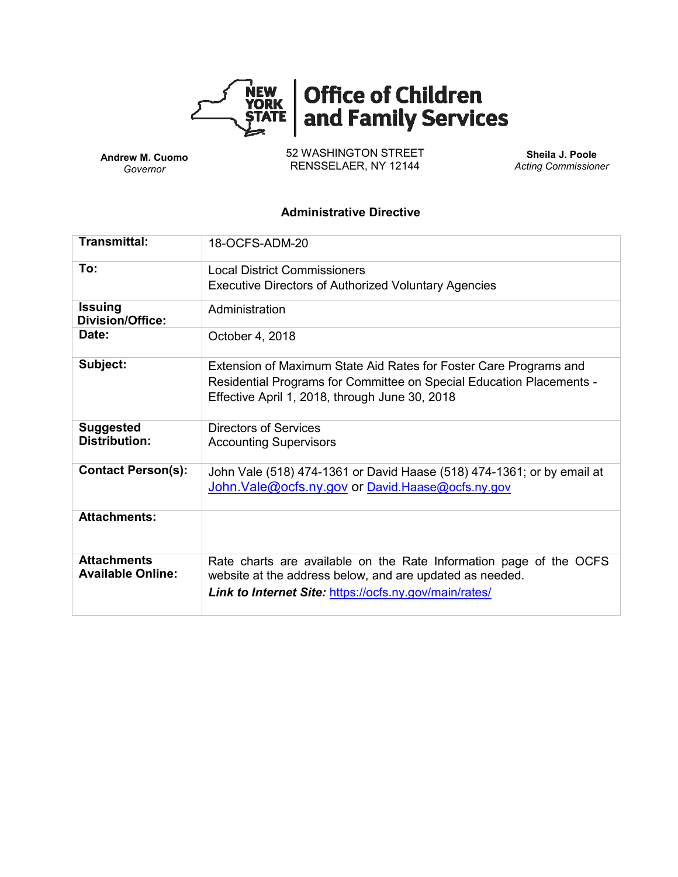

**Andrew M. Cuomo** *Governor*

52 WASHINGTON STREET RENSSELAER, NY 12144

**Sheila J. Poole** *Acting Commissioner*

#### **Administrative Directive**

| <b>Transmittal:</b>                            | 18-OCFS-ADM-20                                                                                                                                                                              |  |  |  |  |
|------------------------------------------------|---------------------------------------------------------------------------------------------------------------------------------------------------------------------------------------------|--|--|--|--|
| To:                                            | <b>Local District Commissioners</b><br><b>Executive Directors of Authorized Voluntary Agencies</b>                                                                                          |  |  |  |  |
| <b>Issuing</b><br><b>Division/Office:</b>      | Administration                                                                                                                                                                              |  |  |  |  |
| Date:                                          | October 4, 2018                                                                                                                                                                             |  |  |  |  |
| Subject:                                       | Extension of Maximum State Aid Rates for Foster Care Programs and<br>Residential Programs for Committee on Special Education Placements -<br>Effective April 1, 2018, through June 30, 2018 |  |  |  |  |
| <b>Suggested</b><br><b>Distribution:</b>       | Directors of Services<br><b>Accounting Supervisors</b>                                                                                                                                      |  |  |  |  |
| <b>Contact Person(s):</b>                      | John Vale (518) 474-1361 or David Haase (518) 474-1361; or by email at<br>John. Vale@ocfs.ny.gov or David. Haase@ocfs.ny.gov                                                                |  |  |  |  |
| <b>Attachments:</b>                            |                                                                                                                                                                                             |  |  |  |  |
| <b>Attachments</b><br><b>Available Online:</b> | Rate charts are available on the Rate Information page of the OCFS<br>website at the address below, and are updated as needed.<br>Link to Internet Site: https://ocfs.ny.gov/main/rates/    |  |  |  |  |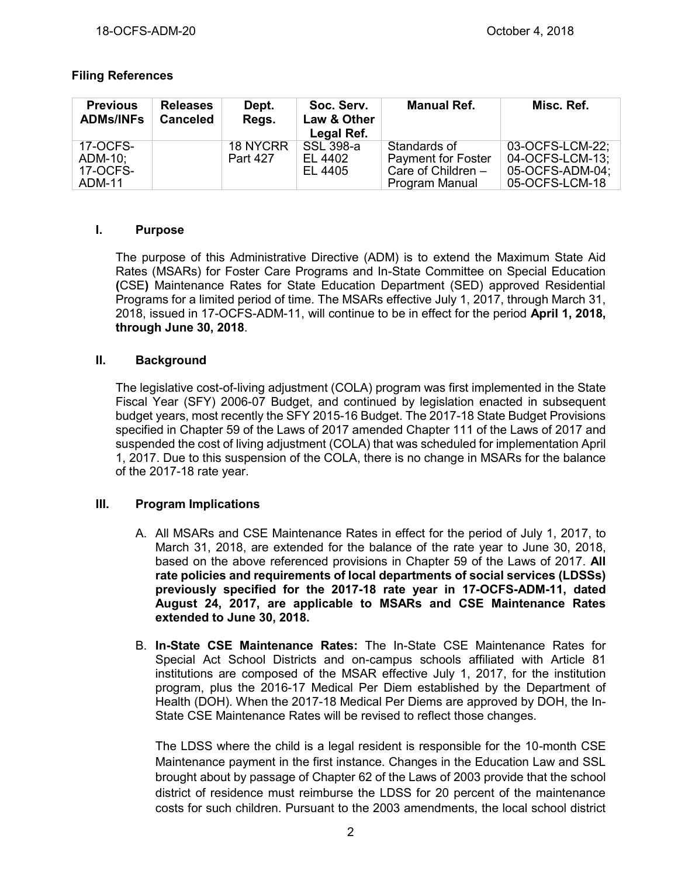# **Filing References**

| <b>Previous</b><br><b>ADMs/INFs</b>       | <b>Releases</b><br><b>Canceled</b> | Dept.<br>Regs.       | Soc. Serv.<br>Law & Other<br>Legal Ref. | <b>Manual Ref.</b>                                                                  | Misc. Ref.                                                              |
|-------------------------------------------|------------------------------------|----------------------|-----------------------------------------|-------------------------------------------------------------------------------------|-------------------------------------------------------------------------|
| 17-OCFS-<br>ADM-10;<br>17-OCFS-<br>ADM-11 |                                    | 18 NYCRR<br>Part 427 | SSL 398-a<br>EL 4402<br>EL 4405         | Standards of<br><b>Payment for Foster</b><br>Care of Children $-$<br>Program Manual | 03-OCFS-LCM-22:<br>04-OCFS-LCM-13;<br>05-OCFS-ADM-04;<br>05-OCFS-LCM-18 |

### **I. Purpose**

The purpose of this Administrative Directive (ADM) is to extend the Maximum State Aid Rates (MSARs) for Foster Care Programs and In-State Committee on Special Education **(**CSE**)** Maintenance Rates for State Education Department (SED) approved Residential Programs for a limited period of time. The MSARs effective July 1, 2017, through March 31, 2018, issued in 17-OCFS-ADM-11, will continue to be in effect for the period **April 1, 2018, through June 30, 2018**.

# **II. Background**

The legislative cost-of-living adjustment (COLA) program was first implemented in the State Fiscal Year (SFY) 2006-07 Budget, and continued by legislation enacted in subsequent budget years, most recently the SFY 2015-16 Budget. The 2017-18 State Budget Provisions specified in Chapter 59 of the Laws of 2017 amended Chapter 111 of the Laws of 2017 and suspended the cost of living adjustment (COLA) that was scheduled for implementation April 1, 2017. Due to this suspension of the COLA, there is no change in MSARs for the balance of the 2017-18 rate year.

### **III. Program Implications**

- A. All MSARs and CSE Maintenance Rates in effect for the period of July 1, 2017, to March 31, 2018, are extended for the balance of the rate year to June 30, 2018, based on the above referenced provisions in Chapter 59 of the Laws of 2017. **All rate policies and requirements of local departments of social services (LDSSs) previously specified for the 2017-18 rate year in 17-OCFS-ADM-11, dated August 24, 2017, are applicable to MSARs and CSE Maintenance Rates extended to June 30, 2018.**
- B. **In-State CSE Maintenance Rates:** The In-State CSE Maintenance Rates for Special Act School Districts and on-campus schools affiliated with Article 81 institutions are composed of the MSAR effective July 1, 2017, for the institution program, plus the 2016-17 Medical Per Diem established by the Department of Health (DOH). When the 2017-18 Medical Per Diems are approved by DOH, the In-State CSE Maintenance Rates will be revised to reflect those changes.

The LDSS where the child is a legal resident is responsible for the 10-month CSE Maintenance payment in the first instance. Changes in the Education Law and SSL brought about by passage of Chapter 62 of the Laws of 2003 provide that the school district of residence must reimburse the LDSS for 20 percent of the maintenance costs for such children. Pursuant to the 2003 amendments, the local school district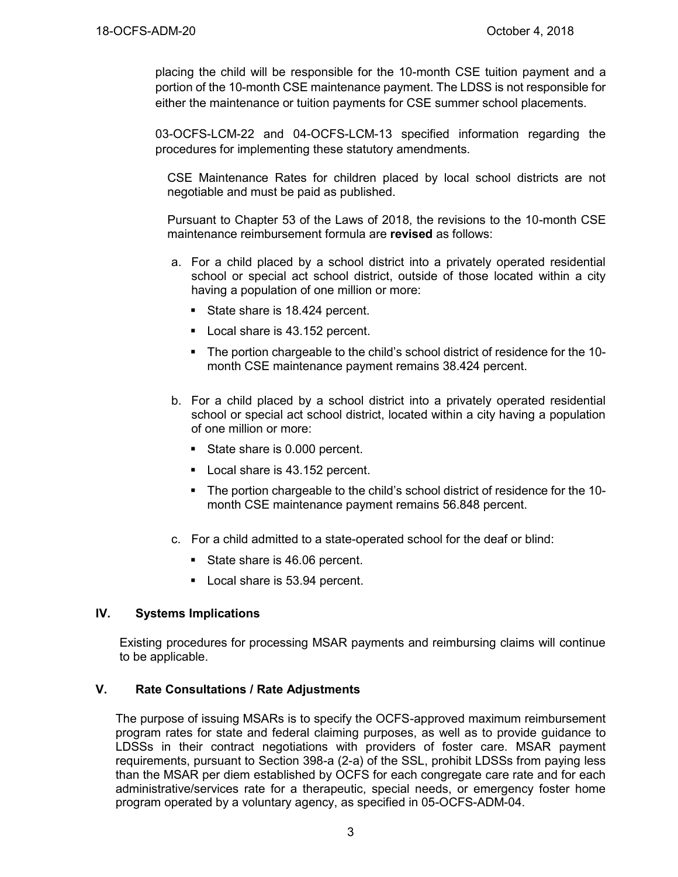placing the child will be responsible for the 10-month CSE tuition payment and a portion of the 10-month CSE maintenance payment. The LDSS is not responsible for either the maintenance or tuition payments for CSE summer school placements.

03-OCFS-LCM-22 and 04-OCFS-LCM-13 specified information regarding the procedures for implementing these statutory amendments.

CSE Maintenance Rates for children placed by local school districts are not negotiable and must be paid as published.

Pursuant to Chapter 53 of the Laws of 2018, the revisions to the 10-month CSE maintenance reimbursement formula are **revised** as follows:

- a. For a child placed by a school district into a privately operated residential school or special act school district, outside of those located within a city having a population of one million or more:
	- State share is 18.424 percent.
	- Local share is 43.152 percent.
	- The portion chargeable to the child's school district of residence for the 10 month CSE maintenance payment remains 38.424 percent.
- b. For a child placed by a school district into a privately operated residential school or special act school district, located within a city having a population of one million or more:
	- State share is 0.000 percent.
	- Local share is 43.152 percent.
	- The portion chargeable to the child's school district of residence for the 10 month CSE maintenance payment remains 56.848 percent.
- c. For a child admitted to a state-operated school for the deaf or blind:
	- State share is 46.06 percent.
	- Local share is 53.94 percent.

### **IV. Systems Implications**

Existing procedures for processing MSAR payments and reimbursing claims will continue to be applicable.

#### **V. Rate Consultations / Rate Adjustments**

The purpose of issuing MSARs is to specify the OCFS-approved maximum reimbursement program rates for state and federal claiming purposes, as well as to provide guidance to LDSSs in their contract negotiations with providers of foster care. MSAR payment requirements, pursuant to Section 398-a (2-a) of the SSL, prohibit LDSSs from paying less than the MSAR per diem established by OCFS for each congregate care rate and for each administrative/services rate for a therapeutic, special needs, or emergency foster home program operated by a voluntary agency, as specified in 05-OCFS-ADM-04.